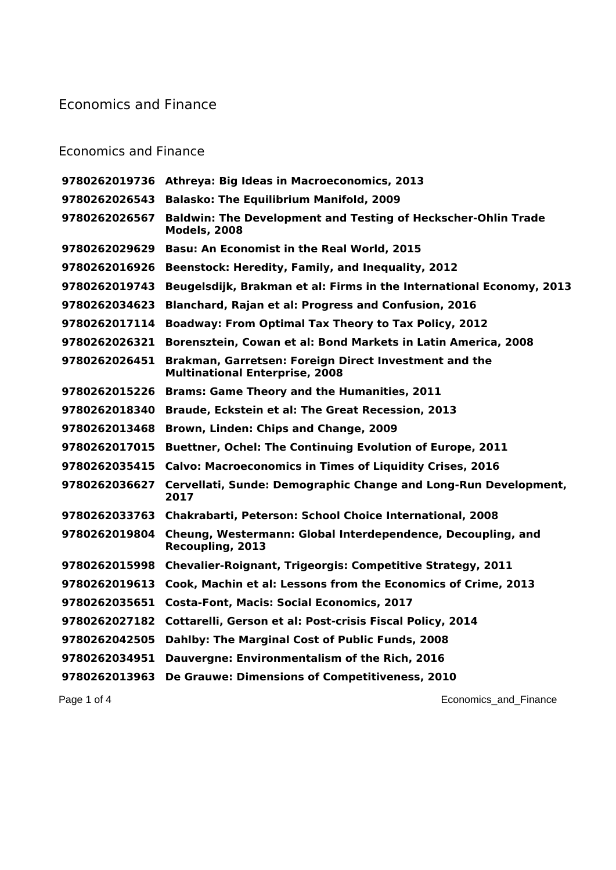## Economics and Finance

## Economics and Finance

| 9780262019736 | <b>Athreya: Big Ideas in Macroeconomics, 2013</b>                                              |
|---------------|------------------------------------------------------------------------------------------------|
| 9780262026543 | <b>Balasko: The Equilibrium Manifold, 2009</b>                                                 |
| 9780262026567 | <b>Baldwin: The Development and Testing of Heckscher-Ohlin Trade</b><br><b>Models, 2008</b>    |
| 9780262029629 | <b>Basu: An Economist in the Real World, 2015</b>                                              |
| 9780262016926 | Beenstock: Heredity, Family, and Inequality, 2012                                              |
| 9780262019743 | Beugelsdijk, Brakman et al: Firms in the International Economy, 2013                           |
| 9780262034623 | <b>Blanchard, Rajan et al: Progress and Confusion, 2016</b>                                    |
| 9780262017114 | <b>Boadway: From Optimal Tax Theory to Tax Policy, 2012</b>                                    |
| 9780262026321 | Borensztein, Cowan et al: Bond Markets in Latin America, 2008                                  |
| 9780262026451 | Brakman, Garretsen: Foreign Direct Investment and the<br><b>Multinational Enterprise, 2008</b> |
| 9780262015226 | <b>Brams: Game Theory and the Humanities, 2011</b>                                             |
| 9780262018340 | Braude, Eckstein et al: The Great Recession, 2013                                              |
| 9780262013468 | Brown, Linden: Chips and Change, 2009                                                          |
| 9780262017015 | Buettner, Ochel: The Continuing Evolution of Europe, 2011                                      |
| 9780262035415 | <b>Calvo: Macroeconomics in Times of Liquidity Crises, 2016</b>                                |
| 9780262036627 | Cervellati, Sunde: Demographic Change and Long-Run Development,<br>2017                        |
|               | 9780262033763 Chakrabarti, Peterson: School Choice International, 2008                         |
| 9780262019804 | Cheung, Westermann: Global Interdependence, Decoupling, and<br>Recoupling, 2013                |
| 9780262015998 | <b>Chevalier-Roignant, Trigeorgis: Competitive Strategy, 2011</b>                              |
| 9780262019613 | Cook, Machin et al: Lessons from the Economics of Crime, 2013                                  |
| 9780262035651 | <b>Costa-Font, Macis: Social Economics, 2017</b>                                               |
| 9780262027182 | Cottarelli, Gerson et al: Post-crisis Fiscal Policy, 2014                                      |
| 9780262042505 | Dahlby: The Marginal Cost of Public Funds, 2008                                                |
| 9780262034951 | Dauvergne: Environmentalism of the Rich, 2016                                                  |
| 9780262013963 | De Grauwe: Dimensions of Competitiveness, 2010                                                 |
|               |                                                                                                |

Page 1 of 4 **Economics\_and\_Finance Economics\_and\_Finance**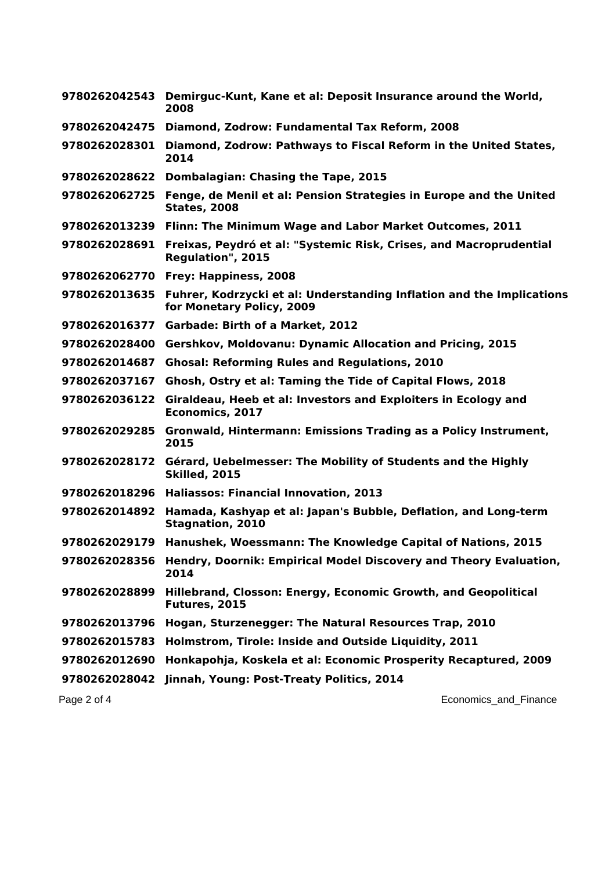| 9780262042543 | Demirguc-Kunt, Kane et al: Deposit Insurance around the World,<br>2008                             |
|---------------|----------------------------------------------------------------------------------------------------|
| 9780262042475 | Diamond, Zodrow: Fundamental Tax Reform, 2008                                                      |
| 9780262028301 | Diamond, Zodrow: Pathways to Fiscal Reform in the United States,<br>2014                           |
| 9780262028622 | <b>Dombalagian: Chasing the Tape, 2015</b>                                                         |
| 9780262062725 | Fenge, de Menil et al: Pension Strategies in Europe and the United<br><b>States, 2008</b>          |
| 9780262013239 | Flinn: The Minimum Wage and Labor Market Outcomes, 2011                                            |
| 9780262028691 | Freixas, Peydró et al: "Systemic Risk, Crises, and Macroprudential<br>Regulation", 2015            |
| 9780262062770 | Frey: Happiness, 2008                                                                              |
| 9780262013635 | Fuhrer, Kodrzycki et al: Understanding Inflation and the Implications<br>for Monetary Policy, 2009 |
| 9780262016377 | Garbade: Birth of a Market, 2012                                                                   |
| 9780262028400 | Gershkov, Moldovanu: Dynamic Allocation and Pricing, 2015                                          |
| 9780262014687 | <b>Ghosal: Reforming Rules and Regulations, 2010</b>                                               |
| 9780262037167 | Ghosh, Ostry et al: Taming the Tide of Capital Flows, 2018                                         |
| 9780262036122 | Giraldeau, Heeb et al: Investors and Exploiters in Ecology and<br>Economics, 2017                  |
| 9780262029285 | Gronwald, Hintermann: Emissions Trading as a Policy Instrument,<br>2015                            |
| 9780262028172 | Gérard, Uebelmesser: The Mobility of Students and the Highly<br><b>Skilled, 2015</b>               |
| 9780262018296 | <b>Haliassos: Financial Innovation, 2013</b>                                                       |
| 9780262014892 | Hamada, Kashyap et al: Japan's Bubble, Deflation, and Long-term<br><b>Stagnation, 2010</b>         |
| 9780262029179 | Hanushek, Woessmann: The Knowledge Capital of Nations, 2015                                        |
| 9780262028356 | Hendry, Doornik: Empirical Model Discovery and Theory Evaluation,<br>2014                          |
| 9780262028899 | Hillebrand, Closson: Energy, Economic Growth, and Geopolitical<br>Futures, 2015                    |
| 9780262013796 | Hogan, Sturzenegger: The Natural Resources Trap, 2010                                              |
| 9780262015783 | Holmstrom, Tirole: Inside and Outside Liquidity, 2011                                              |
| 9780262012690 | Honkapohja, Koskela et al: Economic Prosperity Recaptured, 2009                                    |
| 9780262028042 | Jinnah, Young: Post-Treaty Politics, 2014                                                          |
| Page 2 of 4   | Economics_and_Finance                                                                              |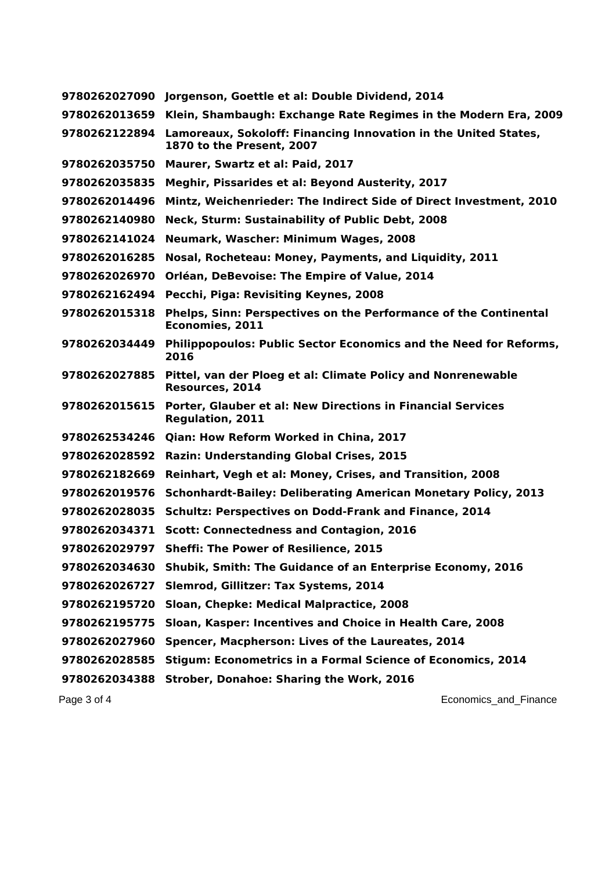| 9780262027090 | Jorgenson, Goettle et al: Double Dividend, 2014                                              |
|---------------|----------------------------------------------------------------------------------------------|
| 9780262013659 | Klein, Shambaugh: Exchange Rate Regimes in the Modern Era, 2009                              |
| 9780262122894 | Lamoreaux, Sokoloff: Financing Innovation in the United States,<br>1870 to the Present, 2007 |
| 9780262035750 | Maurer, Swartz et al: Paid, 2017                                                             |
| 9780262035835 | Meghir, Pissarides et al: Beyond Austerity, 2017                                             |
| 9780262014496 | Mintz, Weichenrieder: The Indirect Side of Direct Investment, 2010                           |
| 9780262140980 | Neck, Sturm: Sustainability of Public Debt, 2008                                             |
| 9780262141024 | Neumark, Wascher: Minimum Wages, 2008                                                        |
| 9780262016285 | Nosal, Rocheteau: Money, Payments, and Liquidity, 2011                                       |
| 9780262026970 | Orléan, DeBevoise: The Empire of Value, 2014                                                 |
| 9780262162494 | Pecchi, Piga: Revisiting Keynes, 2008                                                        |
| 9780262015318 | Phelps, Sinn: Perspectives on the Performance of the Continental<br><b>Economies, 2011</b>   |
| 9780262034449 | Philippopoulos: Public Sector Economics and the Need for Reforms,<br>2016                    |
| 9780262027885 | Pittel, van der Ploeg et al: Climate Policy and Nonrenewable<br>Resources, 2014              |
| 9780262015615 | Porter, Glauber et al: New Directions in Financial Services<br><b>Regulation, 2011</b>       |
| 9780262534246 | <b>Qian: How Reform Worked in China, 2017</b>                                                |
| 9780262028592 | <b>Razin: Understanding Global Crises, 2015</b>                                              |
| 9780262182669 | Reinhart, Vegh et al: Money, Crises, and Transition, 2008                                    |
| 9780262019576 | <b>Schonhardt-Bailey: Deliberating American Monetary Policy, 2013</b>                        |
| 9780262028035 | <b>Schultz: Perspectives on Dodd-Frank and Finance, 2014</b>                                 |
| 9780262034371 | <b>Scott: Connectedness and Contagion, 2016</b>                                              |
| 9780262029797 | <b>Sheffi: The Power of Resilience, 2015</b>                                                 |
| 9780262034630 | Shubik, Smith: The Guidance of an Enterprise Economy, 2016                                   |
| 9780262026727 | Slemrod, Gillitzer: Tax Systems, 2014                                                        |
| 9780262195720 | Sloan, Chepke: Medical Malpractice, 2008                                                     |
| 9780262195775 | Sloan, Kasper: Incentives and Choice in Health Care, 2008                                    |
| 9780262027960 | Spencer, Macpherson: Lives of the Laureates, 2014                                            |
| 9780262028585 | Stigum: Econometrics in a Formal Science of Economics, 2014                                  |
| 9780262034388 | <b>Strober, Donahoe: Sharing the Work, 2016</b>                                              |
|               |                                                                                              |

Page 3 of 4 **Economics\_and\_Finance Page 3 of 4** Economics\_and\_Finance